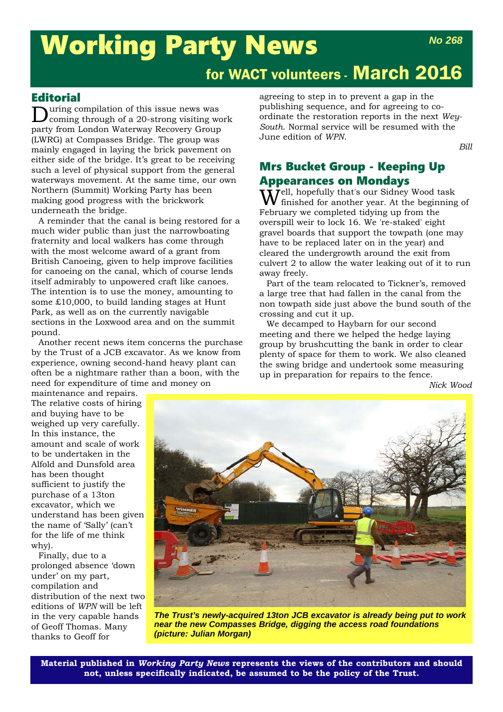# Working Party News

# for WACT volunteers - March 2016

### **Editorial**

uring compilation of this issue news was coming through of a 20-strong visiting work party from London Waterway Recovery Group (LWRG) at Compasses Bridge. The group was mainly engaged in laying the brick pavement on either side of the bridge. It's great to be receiving such a level of physical support from the general waterways movement. At the same time, our own Northern (Summit) Working Party has been making good progress with the brickwork underneath the bridge.

A reminder that the canal is being restored for a much wider public than just the narrowboating fraternity and local walkers has come through with the most welcome award of a grant from British Canoeing, given to help improve facilities for canoeing on the canal, which of course lends itself admirably to unpowered craft like canoes. The intention is to use the money, amounting to some £10,000, to build landing stages at Hunt Park, as well as on the currently navigable sections in the Loxwood area and on the summit pound.

Another recent news item concerns the purchase by the Trust of a JCB excavator. As we know from experience, owning second-hand heavy plant can often be a nightmare rather than a boon, with the need for expenditure of time and money on

agreeing to step in to prevent a gap in the publishing sequence, and for agreeing to coordinate the restoration reports in the next *Wey-South*. Normal service will be resumed with the June edition of *WPN*.

*Bill*

# Mrs Bucket Group - Keeping Up Appearances on Mondays

 $\dot{W}$ ell, hopefully that's our Sidney Wood task finished for another year. At the beginning of February we completed tidying up from the overspill weir to lock 16. We 're-staked' eight gravel boards that support the towpath (one may have to be replaced later on in the year) and cleared the undergrowth around the exit from culvert 2 to allow the water leaking out of it to run away freely.

Part of the team relocated to Tickner's, removed a large tree that had fallen in the canal from the non towpath side just above the bund south of the crossing and cut it up.

We decamped to Haybarn for our second meeting and there we helped the hedge laying group by brushcutting the bank in order to clear plenty of space for them to work. We also cleaned the swing bridge and undertook some measuring up in preparation for repairs to the fence.

*Nick Wood*

maintenance and repairs. The relative costs of hiring and buying have to be weighed up very carefully. In this instance, the amount and scale of work to be undertaken in the Alfold and Dunsfold area has been thought sufficient to justify the purchase of a 13ton excavator, which we understand has been given the name of 'Sally' (can't for the life of me think why).

Finally, due to a prolonged absence 'down under' on my part, compilation and distribution of the next two editions of *WPN* will be left in the very capable hands of Geoff Thomas. Many thanks to Geoff for



*The Trust's newly-acquired 13ton JCB excavator is already being put to work near the new Compasses Bridge, digging the access road foundations (picture: Julian Morgan)*

**Material published in** *Working Party News* **represents the views of the contributors and should not, unless specifically indicated, be assumed to be the policy of the Trust.**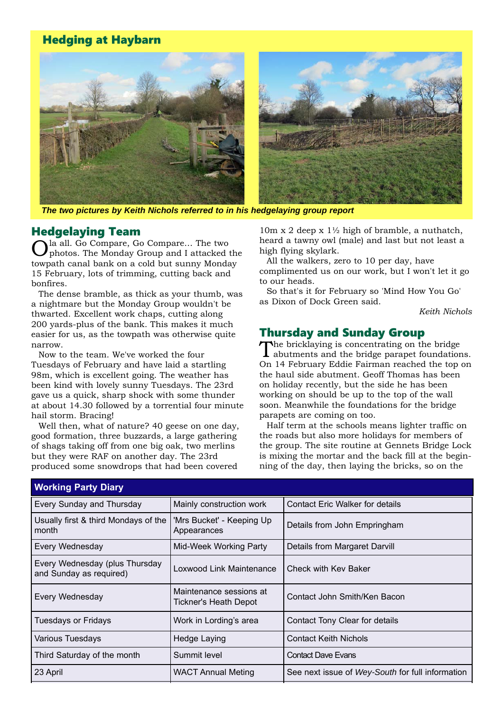# Hedging at Haybarn



*The two pictures by Keith Nichols referred to in his hedgelaying group report*

#### Hedgelaying Team

la all. Go Compare, Go Compare... The two photos. The Monday Group and I attacked the towpath canal bank on a cold but sunny Monday 15 February, lots of trimming, cutting back and bonfires.

The dense bramble, as thick as your thumb, was a nightmare but the Monday Group wouldn't be thwarted. Excellent work chaps, cutting along 200 yards-plus of the bank. This makes it much easier for us, as the towpath was otherwise quite narrow.

Now to the team. We've worked the four Tuesdays of February and have laid a startling 98m, which is excellent going. The weather has been kind with lovely sunny Tuesdays. The 23rd gave us a quick, sharp shock with some thunder at about 14.30 followed by a torrential four minute hail storm. Bracing!

Well then, what of nature? 40 geese on one day, good formation, three buzzards, a large gathering of shags taking off from one big oak, two merlins but they were RAF on another day. The 23rd produced some snowdrops that had been covered

10m x 2 deep x 1½ high of bramble, a nuthatch, heard a tawny owl (male) and last but not least a high flying skylark.

All the walkers, zero to 10 per day, have complimented us on our work, but I won't let it go to our heads.

So that's it for February so 'Mind How You Go' as Dixon of Dock Green said.

*Keith Nichols*

#### Thursday and Sunday Group

The bricklaying is concentrating on the bridge abutments and the bridge parapet foundations. On 14 February Eddie Fairman reached the top on the haul side abutment. Geoff Thomas has been on holiday recently, but the side he has been working on should be up to the top of the wall soon. Meanwhile the foundations for the bridge parapets are coming on too.

Half term at the schools means lighter traffic on the roads but also more holidays for members of the group. The site routine at Gennets Bridge Lock is mixing the mortar and the back fill at the beginning of the day, then laying the bricks, so on the

| <b>Working Party Diary</b>                                |                                                         |                                                  |  |  |
|-----------------------------------------------------------|---------------------------------------------------------|--------------------------------------------------|--|--|
| Every Sunday and Thursday                                 | Mainly construction work                                | <b>Contact Eric Walker for details</b>           |  |  |
| Usually first & third Mondays of the<br>month             | 'Mrs Bucket' - Keeping Up<br>Appearances                | Details from John Empringham                     |  |  |
| Every Wednesday                                           | Mid-Week Working Party<br>Details from Margaret Darvill |                                                  |  |  |
| Every Wednesday (plus Thursday<br>and Sunday as required) | Loxwood Link Maintenance<br>Check with Kev Baker        |                                                  |  |  |
| Every Wednesday                                           | Maintenance sessions at<br><b>Tickner's Heath Depot</b> | Contact John Smith/Ken Bacon                     |  |  |
| <b>Tuesdays or Fridays</b>                                | Work in Lording's area                                  | Contact Tony Clear for details                   |  |  |
| Various Tuesdays                                          | Hedge Laying                                            | <b>Contact Keith Nichols</b>                     |  |  |
| Third Saturday of the month                               | Summit level                                            | <b>Contact Dave Evans</b>                        |  |  |
| 23 April                                                  | <b>WACT Annual Meting</b>                               | See next issue of Wey-South for full information |  |  |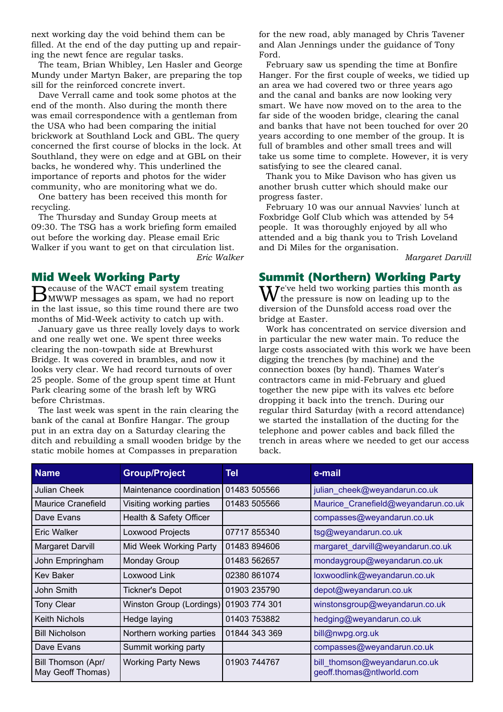next working day the void behind them can be filled. At the end of the day putting up and repairing the newt fence are regular tasks.

The team, Brian Whibley, Len Hasler and George Mundy under Martyn Baker, are preparing the top sill for the reinforced concrete invert.

Dave Verrall came and took some photos at the end of the month. Also during the month there was email correspondence with a gentleman from the USA who had been comparing the initial brickwork at Southland Lock and GBL. The query concerned the first course of blocks in the lock. At Southland, they were on edge and at GBL on their backs, he wondered why. This underlined the importance of reports and photos for the wider community, who are monitoring what we do.

One battery has been received this month for recycling.

The Thursday and Sunday Group meets at 09:30. The TSG has a work briefing form emailed out before the working day. Please email Eric Walker if you want to get on that circulation list. *Eric Walker*

#### Mid Week Working Party

Because of the WACT email system treating MWWP messages as spam, we had no report in the last issue, so this time round there are two months of Mid-Week activity to catch up with.

January gave us three really lovely days to work and one really wet one. We spent three weeks clearing the non-towpath side at Brewhurst Bridge. It was covered in brambles, and now it looks very clear. We had record turnouts of over 25 people. Some of the group spent time at Hunt Park clearing some of the brash left by WRG before Christmas.

The last week was spent in the rain clearing the bank of the canal at Bonfire Hangar. The group put in an extra day on a Saturday clearing the ditch and rebuilding a small wooden bridge by the static mobile homes at Compasses in preparation

for the new road, ably managed by Chris Tavener and Alan Jennings under the guidance of Tony Ford.

February saw us spending the time at Bonfire Hanger. For the first couple of weeks, we tidied up an area we had covered two or three years ago and the canal and banks are now looking very smart. We have now moved on to the area to the far side of the wooden bridge, clearing the canal and banks that have not been touched for over 20 years according to one member of the group. It is full of brambles and other small trees and will take us some time to complete. However, it is very satisfying to see the cleared canal.

Thank you to Mike Davison who has given us another brush cutter which should make our progress faster.

February 10 was our annual Navvies' lunch at Foxbridge Golf Club which was attended by 54 people. It was thoroughly enjoyed by all who attended and a big thank you to Trish Loveland and Di Miles for the organisation.

*Margaret Darvill*

#### Summit (Northern) Working Party

We've held two working parties this month as the pressure is now on leading up to the diversion of the Dunsfold access road over the bridge at Easter.

Work has concentrated on service diversion and in particular the new water main. To reduce the large costs associated with this work we have been digging the trenches (by machine) and the connection boxes (by hand). Thames Water's contractors came in mid-February and glued together the new pipe with its valves etc before dropping it back into the trench. During our regular third Saturday (with a record attendance) we started the installation of the ducting for the telephone and power cables and back filled the trench in areas where we needed to get our access back.

| <b>Name</b>                             | <b>Group/Project</b>                  | Tel           | e-mail                                                     |
|-----------------------------------------|---------------------------------------|---------------|------------------------------------------------------------|
| <b>Julian Cheek</b>                     | Maintenance coordination 01483 505566 |               | julian cheek@weyandarun.co.uk                              |
| Maurice Cranefield                      | Visiting working parties              | 01483 505566  | Maurice_Cranefield@weyandarun.co.uk                        |
| Dave Evans                              | Health & Safety Officer               |               | compasses@weyandarun.co.uk                                 |
| Eric Walker                             | Loxwood Projects                      | 07717 855340  | tsg@weyandarun.co.uk                                       |
| Margaret Darvill                        | Mid Week Working Party                | 01483 894606  | margaret_darvill@weyandarun.co.uk                          |
| John Empringham                         | Monday Group                          | 01483 562657  | mondaygroup@weyandarun.co.uk                               |
| <b>Kev Baker</b>                        | Loxwood Link                          | 02380 861074  | loxwoodlink@weyandarun.co.uk                               |
| John Smith                              | <b>Tickner's Depot</b>                | 01903 235790  | depot@weyandarun.co.uk                                     |
| <b>Tony Clear</b>                       | Winston Group (Lordings)              | 01903 774 301 | winstonsgroup@weyandarun.co.uk                             |
| <b>Keith Nichols</b>                    | Hedge laying                          | 01403 753882  | hedging@weyandarun.co.uk                                   |
| <b>Bill Nicholson</b>                   | Northern working parties              | 01844 343 369 | bill@nwpg.org.uk                                           |
| Dave Evans                              | Summit working party                  |               | compasses@weyandarun.co.uk                                 |
| Bill Thomson (Apr/<br>May Geoff Thomas) | <b>Working Party News</b>             | 01903 744767  | bill thomson@weyandarun.co.uk<br>geoff.thomas@ntlworld.com |